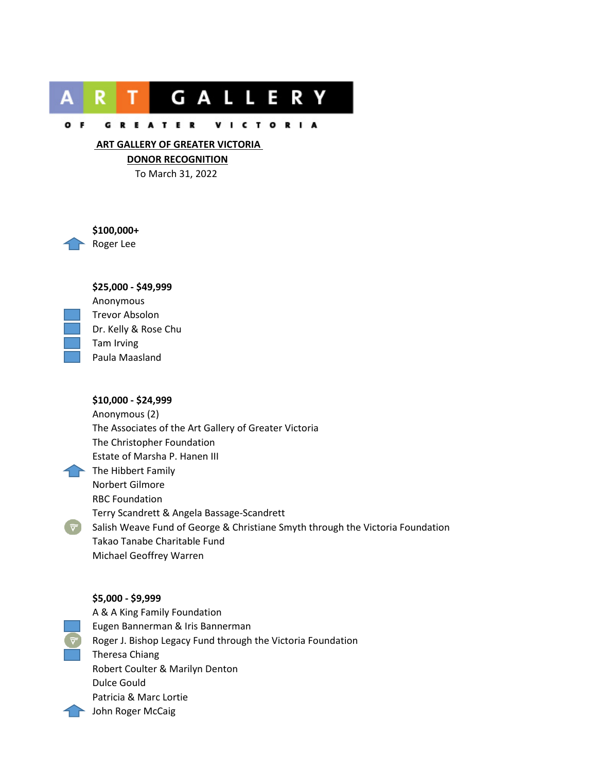

#### GREATER VICTORIA  $O$  F

## **ART GALLERY OF GREATER VICTORIA**

**DONOR RECOGNITION**

To March 31, 2022



**\$100,000+** Roger Lee

# **\$25,000 - \$49,999**



Anonymous Trevor Absolon Dr. Kelly & Rose Chu Tam Irving Paula Maasland

# **\$10,000 - \$24,999**

Anonymous (2) The Associates of the Art Gallery of Greater Victoria The Christopher Foundation Estate of Marsha P. Hanen III  $\blacktriangleright$  The Hibbert Family Norbert Gilmore RBC Foundation Terry Scandrett & Angela Bassage-Scandrett  $\triangledown$  Salish Weave Fund of George & Christiane Smyth through the Victoria Foundation Takao Tanabe Charitable Fund Michael Geoffrey Warren

#### **\$5,000 - \$9,999**

A & A King Family Foundation Eugen Bannerman & Iris Bannerman Roger J. Bishop Legacy Fund through the Victoria Foundation Theresa Chiang Robert Coulter & Marilyn Denton Dulce Gould Patricia & Marc Lortie **John Roger McCaig**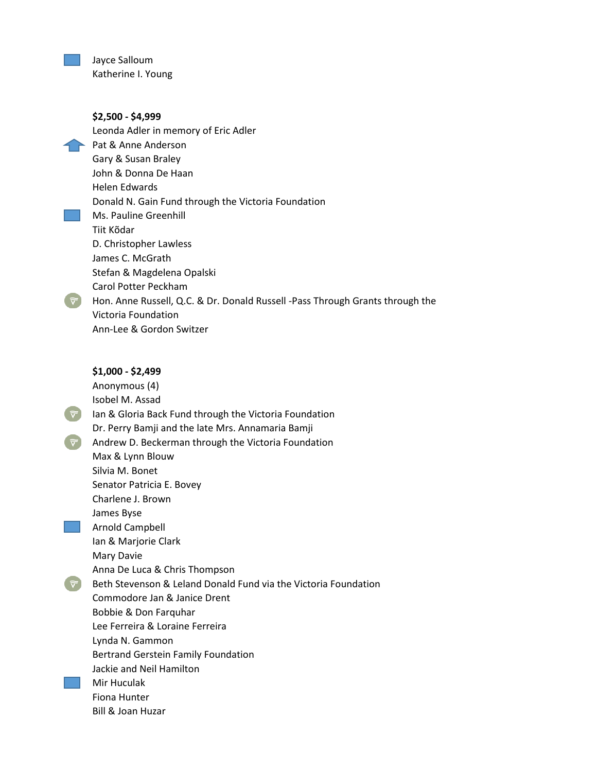Jayce Salloum Katherine I. Young

**\$2,500 - \$4,999** Leonda Adler in memory of Eric Adler Pat & Anne Anderson Gary & Susan Braley John & Donna De Haan Helen Edwards Donald N. Gain Fund through the Victoria Foundation Ms. Pauline Greenhill Tiit Kõdar D. Christopher Lawless James C. McGrath Stefan & Magdelena Opalski Carol Potter Peckham  $\overline{v}$  Hon. Anne Russell, Q.C. & Dr. Donald Russell -Pass Through Grants through the Victoria Foundation Ann-Lee & Gordon Switzer

#### **\$1,000 - \$2,499**

Anonymous (4) Isobel M. Assad  $\triangledown$  Ian & Gloria Back Fund through the Victoria Foundation Dr. Perry Bamji and the late Mrs. Annamaria Bamji  $\blacktriangleright$  Andrew D. Beckerman through the Victoria Foundation Max & Lynn Blouw Silvia M. Bonet Senator Patricia E. Bovey Charlene J. Brown James Byse Arnold Campbell Ian & Marjorie Clark Mary Davie Anna De Luca & Chris Thompson  $\widetilde{\nabla}$ Beth Stevenson & Leland Donald Fund via the Victoria Foundation Commodore Jan & Janice Drent Bobbie & Don Farquhar Lee Ferreira & Loraine Ferreira Lynda N. Gammon Bertrand Gerstein Family Foundation Jackie and Neil Hamilton Mir Huculak Fiona Hunter Bill & Joan Huzar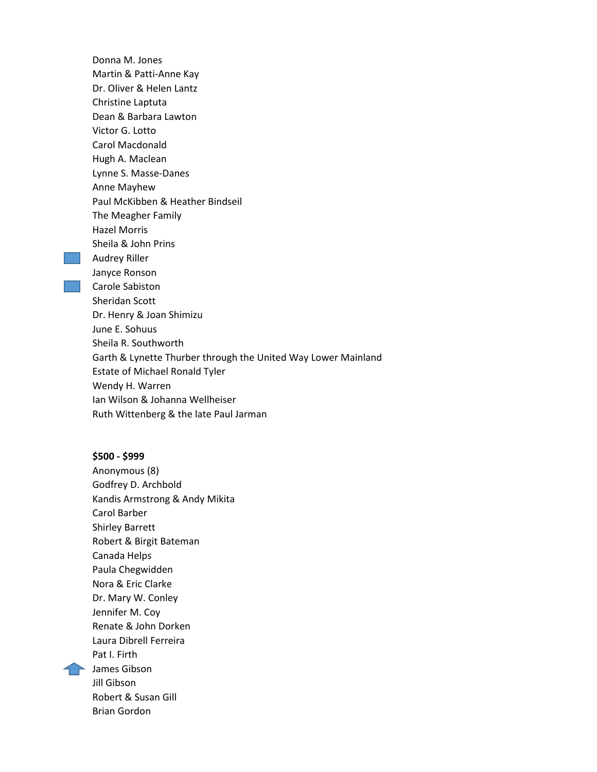Donna M. Jones Martin & Patti-Anne Kay Dr. Oliver & Helen Lantz Christine Laptuta Dean & Barbara Lawton Victor G. Lotto Carol Macdonald Hugh A. Maclean Lynne S. Masse-Danes Anne Mayhew Paul McKibben & Heather Bindseil The Meagher Family Hazel Morris Sheila & John Prins **Audrey Riller** Janyce Ronson Carole Sabiston Sheridan Scott Dr. Henry & Joan Shimizu June E. Sohuus Sheila R. Southworth Garth & Lynette Thurber through the United Way Lower Mainland Estate of Michael Ronald Tyler Wendy H. Warren Ian Wilson & Johanna Wellheiser Ruth Wittenberg & the late Paul Jarman

#### **\$500 - \$999**

Anonymous (8) Godfrey D. Archbold Kandis Armstrong & Andy Mikita Carol Barber Shirley Barrett Robert & Birgit Bateman Canada Helps Paula Chegwidden Nora & Eric Clarke Dr. Mary W. Conley Jennifer M. Coy Renate & John Dorken Laura Dibrell Ferreira Pat I. Firth **The James Gibson** Jill Gibson Robert & Susan Gill Brian Gordon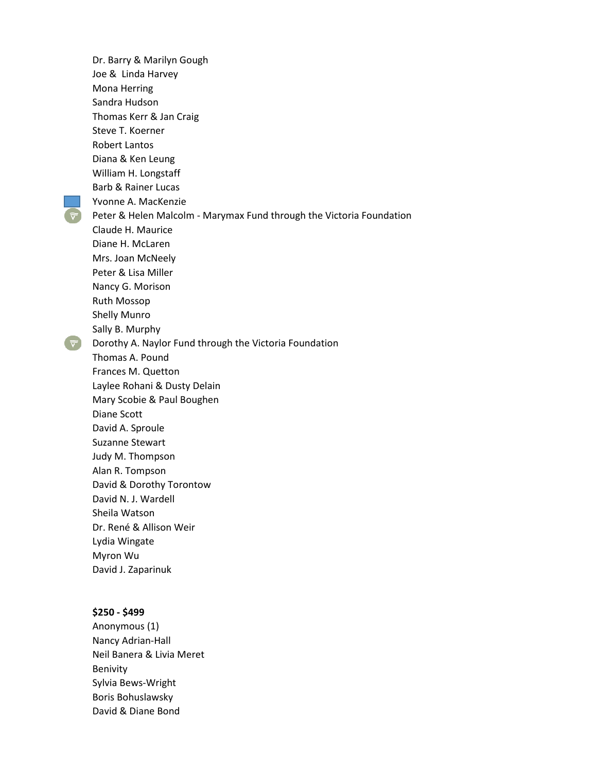Dr. Barry & Marilyn Gough Joe & Linda Harvey Mona Herring Sandra Hudson Thomas Kerr & Jan Craig Steve T. Koerner Robert Lantos Diana & Ken Leung William H. Longstaff Barb & Rainer Lucas Yvonne A. MacKenzie  $\widehat{\nabla}$ Peter & Helen Malcolm - Marymax Fund through the Victoria Foundation Claude H. Maurice Diane H. McLaren Mrs. Joan McNeely Peter & Lisa Miller Nancy G. Morison Ruth Mossop Shelly Munro Sally B. Murphy  $\triangledown$  Dorothy A. Naylor Fund through the Victoria Foundation Thomas A. Pound Frances M. Quetton Laylee Rohani & Dusty Delain Mary Scobie & Paul Boughen Diane Scott David A. Sproule Suzanne Stewart Judy M. Thompson Alan R. Tompson David & Dorothy Torontow David N. J. Wardell Sheila Watson Dr. René & Allison Weir Lydia Wingate Myron Wu David J. Zaparinuk

# **\$250 - \$499**

Anonymous (1) Nancy Adrian-Hall Neil Banera & Livia Meret Benivity Sylvia Bews-Wright Boris Bohuslawsky David & Diane Bond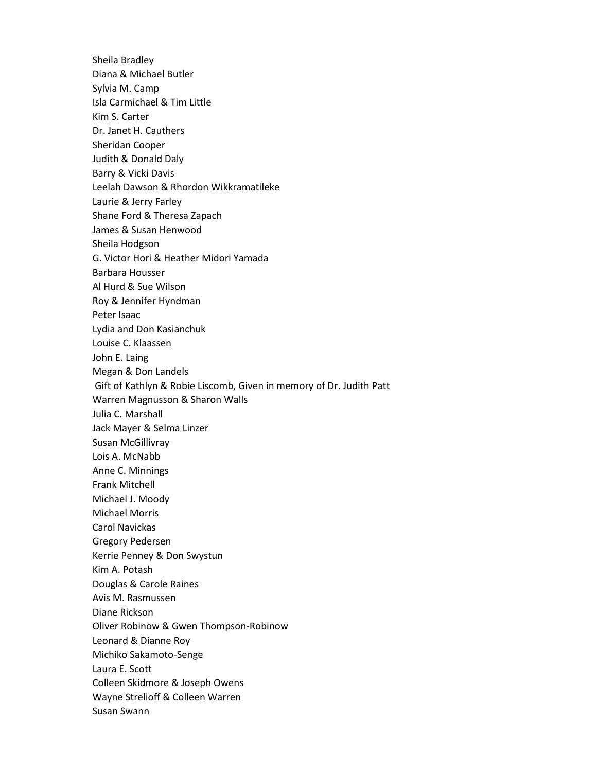Sheila Bradley Diana & Michael Butler Sylvia M. Camp Isla Carmichael & Tim Little Kim S. Carter Dr. Janet H. Cauthers Sheridan Cooper Judith & Donald Daly Barry & Vicki Davis Leelah Dawson & Rhordon Wikkramatileke Laurie & Jerry Farley Shane Ford & Theresa Zapach James & Susan Henwood Sheila Hodgson G. Victor Hori & Heather Midori Yamada Barbara Housser Al Hurd & Sue Wilson Roy & Jennifer Hyndman Peter Isaac Lydia and Don Kasianchuk Louise C. Klaassen John E. Laing Megan & Don Landels Gift of Kathlyn & Robie Liscomb, Given in memory of Dr. Judith Patt Warren Magnusson & Sharon Walls Julia C. Marshall Jack Mayer & Selma Linzer Susan McGillivray Lois A. McNabb Anne C. Minnings Frank Mitchell Michael J. Moody Michael Morris Carol Navickas Gregory Pedersen Kerrie Penney & Don Swystun Kim A. Potash Douglas & Carole Raines Avis M. Rasmussen Diane Rickson Oliver Robinow & Gwen Thompson-Robinow Leonard & Dianne Roy Michiko Sakamoto-Senge Laura E. Scott Colleen Skidmore & Joseph Owens Wayne Strelioff & Colleen Warren Susan Swann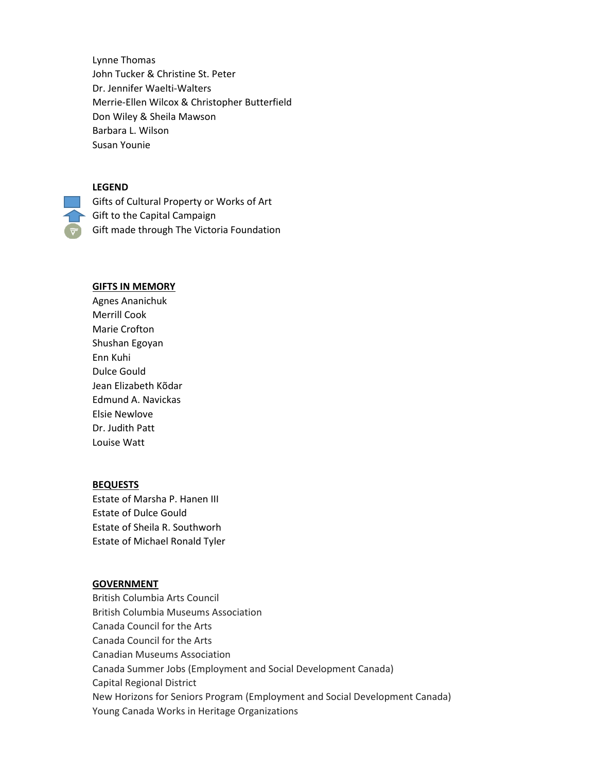Lynne Thomas John Tucker & Christine St. Peter Dr. Jennifer Waelti-Walters Merrie-Ellen Wilcox & Christopher Butterfield Don Wiley & Sheila Mawson Barbara L. Wilson Susan Younie

### **LEGEND**

Gifts of Cultural Property or Works of Art Gift to the Capital Campaign Gift made through The Victoria Foundation

#### **GIFTS IN MEMORY**

Agnes Ananichuk Merrill Cook Marie Crofton Shushan Egoyan Enn Kuhi Dulce Gould Jean Elizabeth Kõdar Edmund A. Navickas Elsie Newlove Dr. Judith Patt Louise Watt

#### **BEQUESTS**

Estate of Marsha P. Hanen III Estate of Dulce Gould Estate of Sheila R. Southworh Estate of Michael Ronald Tyler

#### **GOVERNMENT**

British Columbia Arts Council British Columbia Museums Association Canada Council for the Arts Canada Council for the Arts Canadian Museums Association Canada Summer Jobs (Employment and Social Development Canada) Capital Regional District New Horizons for Seniors Program (Employment and Social Development Canada) Young Canada Works in Heritage Organizations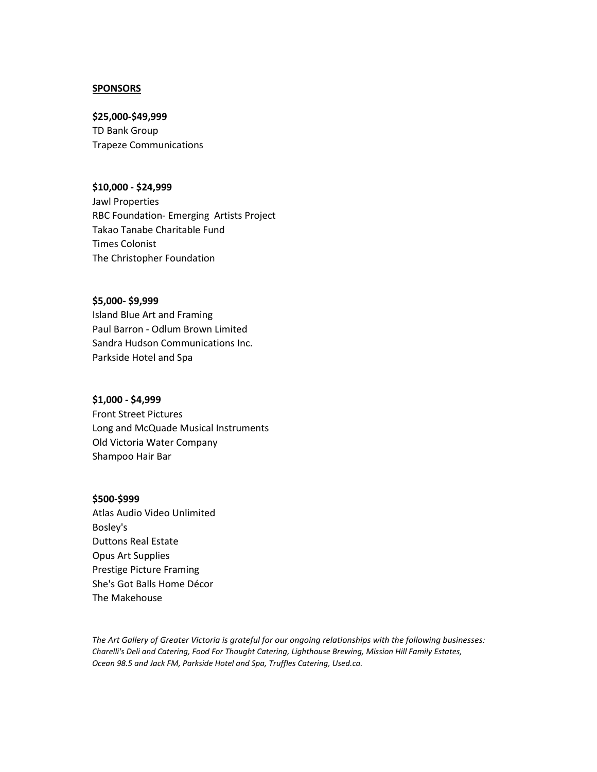#### **SPONSORS**

#### **\$25,000-\$49,999**

TD Bank Group Trapeze Communications

#### **\$10,000 - \$24,999**

Jawl Properties RBC Foundation- Emerging Artists Project Takao Tanabe Charitable Fund Times Colonist The Christopher Foundation

#### **\$5,000- \$9,999**

Island Blue Art and Framing Paul Barron - Odlum Brown Limited Sandra Hudson Communications Inc. Parkside Hotel and Spa

#### **\$1,000 - \$4,999**

Front Street Pictures Long and McQuade Musical Instruments Old Victoria Water Company Shampoo Hair Bar

#### **\$500-\$999**

Atlas Audio Video Unlimited Bosley's Duttons Real Estate Opus Art Supplies Prestige Picture Framing She's Got Balls Home Décor The Makehouse

*The Art Gallery of Greater Victoria is grateful for our ongoing relationships with the following businesses: Charelli's Deli and Catering, Food For Thought Catering, Lighthouse Brewing, Mission Hill Family Estates, Ocean 98.5 and Jack FM, Parkside Hotel and Spa, Truffles Catering, Used.ca.*